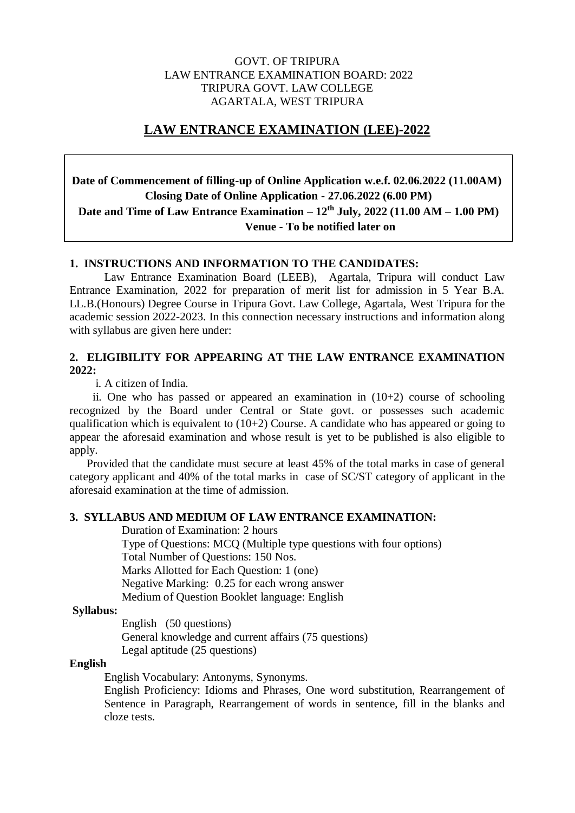## GOVT. OF TRIPURA LAW ENTRANCE EXAMINATION BOARD: 2022 TRIPURA GOVT. LAW COLLEGE AGARTALA, WEST TRIPURA

# **LAW ENTRANCE EXAMINATION (LEE)-2022**

**Date of Commencement of filling-up of Online Application w.e.f. 02.06.2022 (11.00AM) Closing Date of Online Application - 27.06.2022 (6.00 PM) Date and Time of Law Entrance Examination**  $-12$ **<sup>th</sup> <b>July, 2022** (11.00 AM  $-1.00$  PM)  **Venue - To be notified later on**

### **1. INSTRUCTIONS AND INFORMATION TO THE CANDIDATES:**

Law Entrance Examination Board (LEEB), Agartala, Tripura will conduct Law Entrance Examination, 2022 for preparation of merit list for admission in 5 Year B.A. LL.B.(Honours) Degree Course in Tripura Govt. Law College, Agartala, West Tripura for the academic session 2022-2023. In this connection necessary instructions and information along with syllabus are given here under:

# **2. ELIGIBILITY FOR APPEARING AT THE LAW ENTRANCE EXAMINATION 2022:**

i. A citizen of India.

ii. One who has passed or appeared an examination in  $(10+2)$  course of schooling recognized by the Board under Central or State govt. or possesses such academic qualification which is equivalent to  $(10+2)$  Course. A candidate who has appeared or going to appear the aforesaid examination and whose result is yet to be published is also eligible to apply.

 Provided that the candidate must secure at least 45% of the total marks in case of general category applicant and 40% of the total marks in case of SC/ST category of applicant in the aforesaid examination at the time of admission.

## **3. SYLLABUS AND MEDIUM OF LAW ENTRANCE EXAMINATION:**

Duration of Examination: 2 hours Type of Questions: MCQ (Multiple type questions with four options) Total Number of Questions: 150 Nos. Marks Allotted for Each Question: 1 (one) Negative Marking: 0.25 for each wrong answer Medium of Question Booklet language: English

#### **Syllabus:**

English (50 questions) General knowledge and current affairs (75 questions) Legal aptitude (25 questions)

#### **English**

English Vocabulary: Antonyms, Synonyms.

English Proficiency: Idioms and Phrases, One word substitution, Rearrangement of Sentence in Paragraph, Rearrangement of words in sentence, fill in the blanks and cloze tests.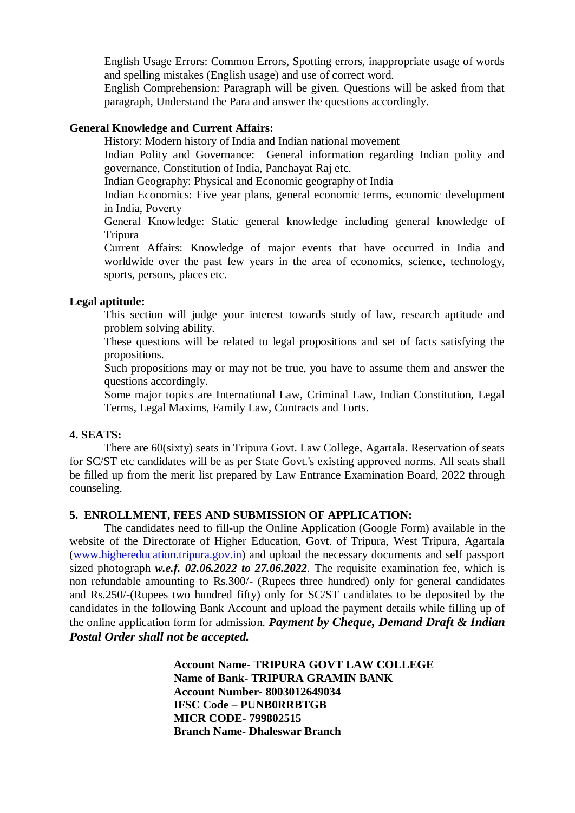English Usage Errors: Common Errors, Spotting errors, inappropriate usage of words and spelling mistakes (English usage) and use of correct word.

English Comprehension: Paragraph will be given. Questions will be asked from that paragraph, Understand the Para and answer the questions accordingly.

### **General Knowledge and Current Affairs:**

History: Modern history of India and Indian national movement

Indian Polity and Governance: General information regarding Indian polity and governance, Constitution of India, Panchayat Raj etc.

Indian Geography: Physical and Economic geography of India

Indian Economics: Five year plans, general economic terms, economic development in India, Poverty

General Knowledge: Static general knowledge including general knowledge of Tripura

Current Affairs: Knowledge of major events that have occurred in India and worldwide over the past few years in the area of economics, science, technology, sports, persons, places etc.

### **Legal aptitude:**

This section will judge your interest towards study of law, research aptitude and problem solving ability.

These questions will be related to legal propositions and set of facts satisfying the propositions.

Such propositions may or may not be true, you have to assume them and answer the questions accordingly.

Some major topics are International Law, Criminal Law, Indian Constitution, Legal Terms, Legal Maxims, Family Law, Contracts and Torts.

#### **4. SEATS:**

There are 60(sixty) seats in Tripura Govt. Law College, Agartala. Reservation of seats for SC/ST etc candidates will be as per State Govt.'s existing approved norms. All seats shall be filled up from the merit list prepared by Law Entrance Examination Board, 2022 through counseling.

## **5. ENROLLMENT, FEES AND SUBMISSION OF APPLICATION:**

The candidates need to fill-up the Online Application (Google Form) available in the website of the Directorate of Higher Education, Govt. of Tripura, West Tripura, Agartala [\(www.highereducation.tripura.gov.in\)](http://www.highereducation.tripura.gov.in/) and upload the necessary documents and self passport sized photograph *w.e.f.* 02.06.2022 to 27.06.2022. The requisite examination fee, which is non refundable amounting to Rs.300/- (Rupees three hundred) only for general candidates and Rs.250/-(Rupees two hundred fifty) only for SC/ST candidates to be deposited by the candidates in the following Bank Account and upload the payment details while filling up of the online application form for admission. *Payment by Cheque, Demand Draft & Indian Postal Order shall not be accepted.*

> **Account Name- TRIPURA GOVT LAW COLLEGE Name of Bank- TRIPURA GRAMIN BANK Account Number- 8003012649034 IFSC Code – PUNB0RRBTGB MICR CODE- 799802515 Branch Name- Dhaleswar Branch**